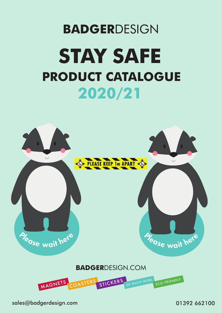# **BADGER**DESIGN **PRODUCT CATALOGUE 2020/21 STAY SAFE**



sales@badgerdesign.com 01392 662100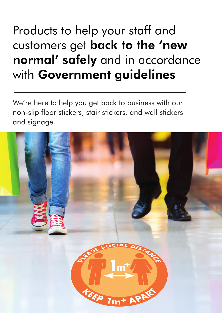# Products to help your staff and customers get back to the 'new normal' safely and in accordance with Government guidelines

We're here to help you get back to business with our non-slip floor stickers, stair stickers, and wall stickers and signage.

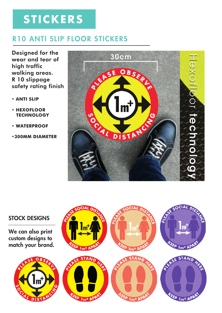# **STICKERS**

## R10 ANTI SLIP FLOOR STICKERS

Designed for the wear and tear of high traffic walking areas. R 10 slippage safety rating finish

- *•* **ANTI SLIP**
- *•* **HEXOFLOOR TECHNOLOGY**
- **WATERPROOF**
- **•300MM DIAMETER**



### STOCK DESIGNS

We can also print custom designs to match your brand.